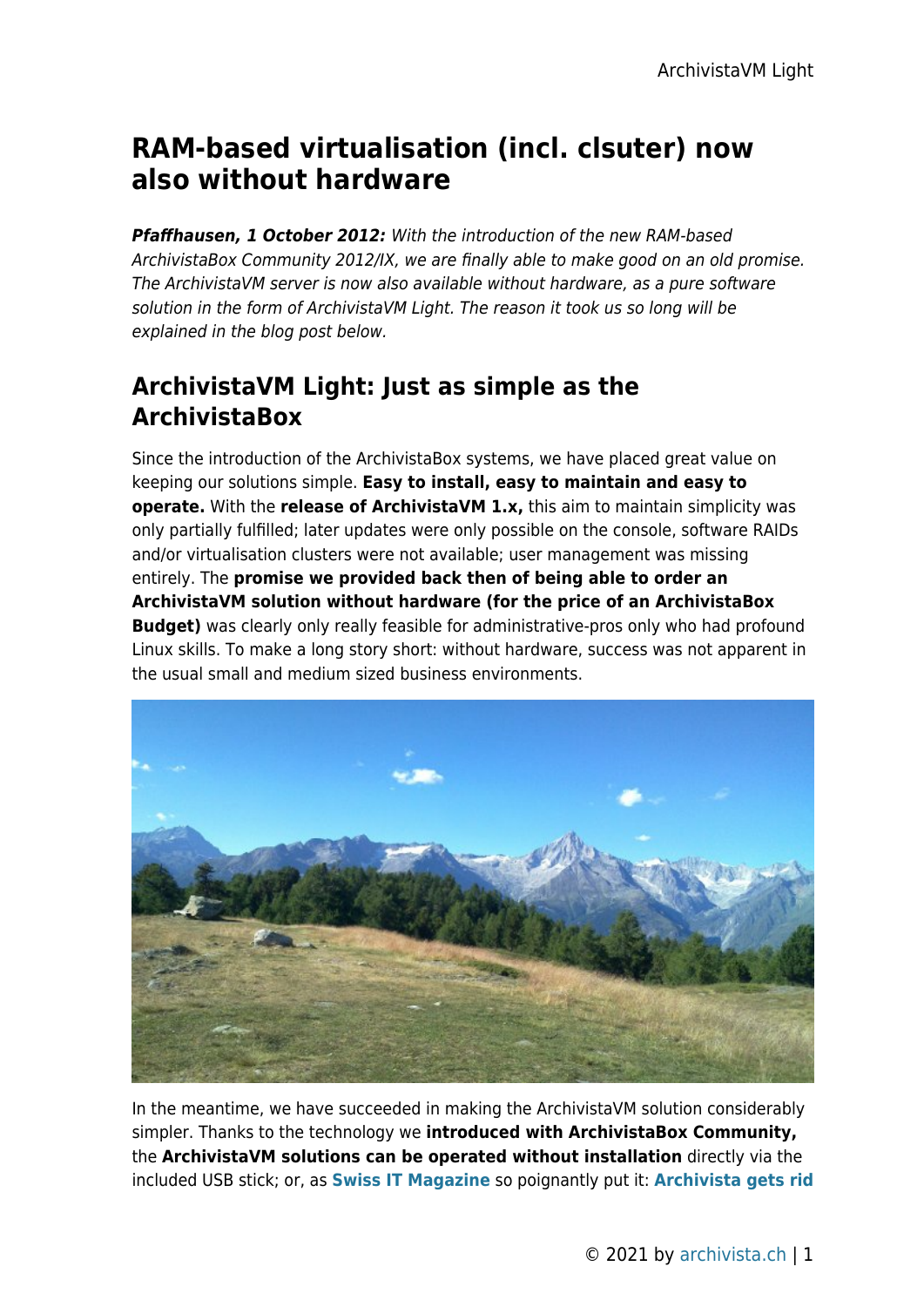# **RAM-based virtualisation (incl. clsuter) now also without hardware**

*Pfaffhausen, 1 October 2012:* With the introduction of the new RAM-based ArchivistaBox Community 2012/IX, we are finally able to make good on an old promise. The ArchivistaVM server is now also available without hardware, as a pure software solution in the form of ArchivistaVM Light. The reason it took us so long will be explained in the blog post below.

### **ArchivistaVM Light: Just as simple as the ArchivistaBox**

Since the introduction of the ArchivistaBox systems, we have placed great value on keeping our solutions simple. **Easy to install, easy to maintain and easy to operate.** With the **release of ArchivistaVM 1.x,** this aim to maintain simplicity was only partially fulfilled; later updates were only possible on the console, software RAIDs and/or virtualisation clusters were not available; user management was missing entirely. The **promise we provided back then of being able to order an ArchivistaVM solution without hardware (for the price of an ArchivistaBox Budget)** was clearly only really feasible for administrative-pros only who had profound Linux skills. To make a long story short: without hardware, success was not apparent in the usual small and medium sized business environments.



In the meantime, we have succeeded in making the ArchivistaVM solution considerably simpler. Thanks to the technology we **introduced with ArchivistaBox Community,** the **ArchivistaVM solutions can be operated without installation** directly via the included USB stick; or, as **[Swiss IT Magazine](http://shop.archivista.ch/oscommunity/catalog/product_info.php?cPath=28&products_id=109)** so poignantly put it: **[Archivista gets rid](http://shop.archivista.ch/oscommunity/catalog/product_info.php?cPath=28&products_id=109)**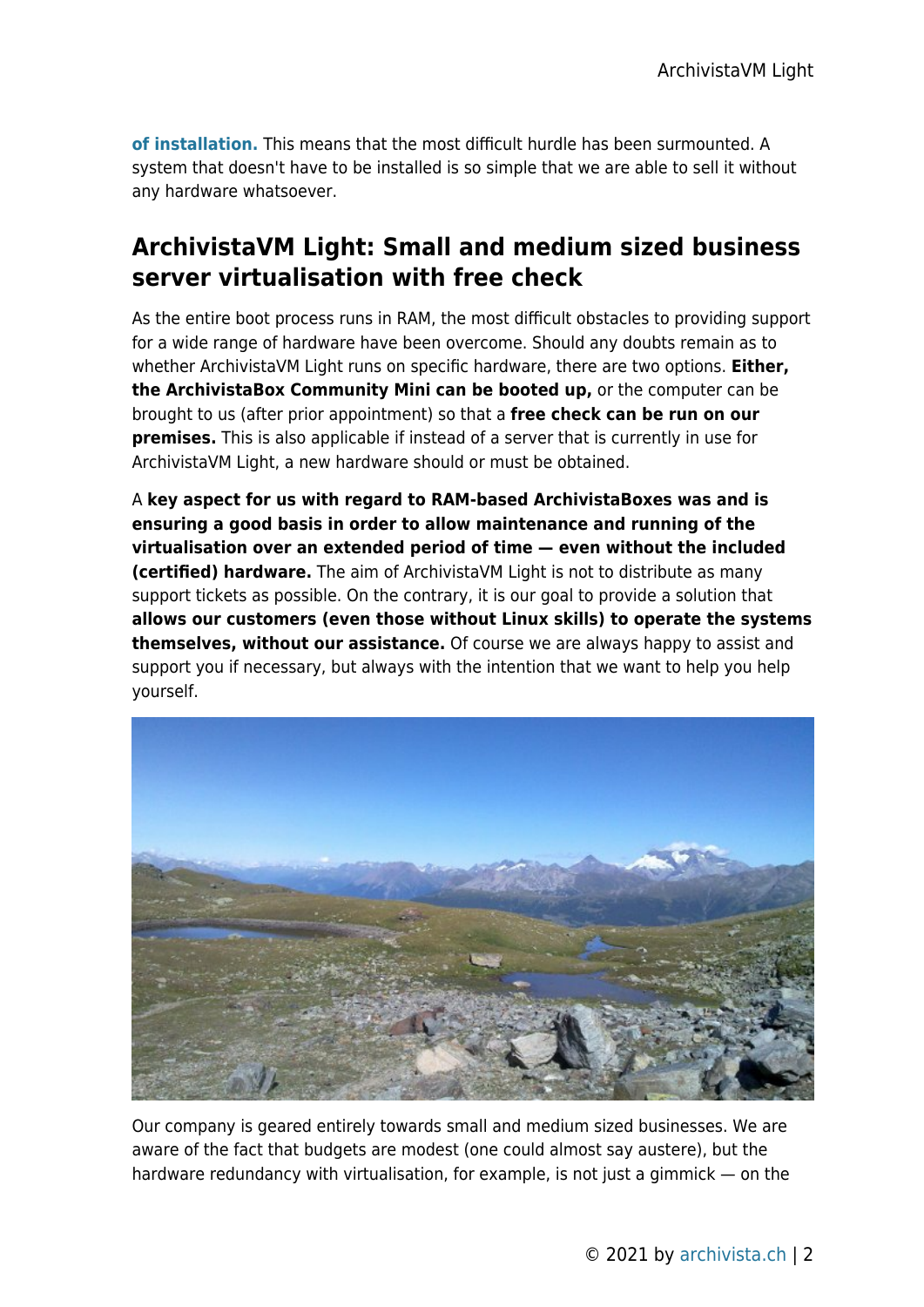**[of installation.](http://shop.archivista.ch/oscommunity/catalog/product_info.php?cPath=28&products_id=109)** This means that the most difficult hurdle has been surmounted. A system that doesn't have to be installed is so simple that we are able to sell it without any hardware whatsoever.

### **ArchivistaVM Light: Small and medium sized business server virtualisation with free check**

As the entire boot process runs in RAM, the most difficult obstacles to providing support for a wide range of hardware have been overcome. Should any doubts remain as to whether ArchivistaVM Light runs on specific hardware, there are two options. **Either, the ArchivistaBox Community Mini can be booted up,** or the computer can be brought to us (after prior appointment) so that a **free check can be run on our premises.** This is also applicable if instead of a server that is currently in use for ArchivistaVM Light, a new hardware should or must be obtained.

A **key aspect for us with regard to RAM-based ArchivistaBoxes was and is ensuring a good basis in order to allow maintenance and running of the virtualisation over an extended period of time — even without the included (certified) hardware.** The aim of ArchivistaVM Light is not to distribute as many support tickets as possible. On the contrary, it is our goal to provide a solution that **allows our customers (even those without Linux skills) to operate the systems themselves, without our assistance.** Of course we are always happy to assist and support you if necessary, but always with the intention that we want to help you help yourself.



Our company is geared entirely towards small and medium sized businesses. We are aware of the fact that budgets are modest (one could almost say austere), but the hardware redundancy with virtualisation, for example, is not just a gimmick — on the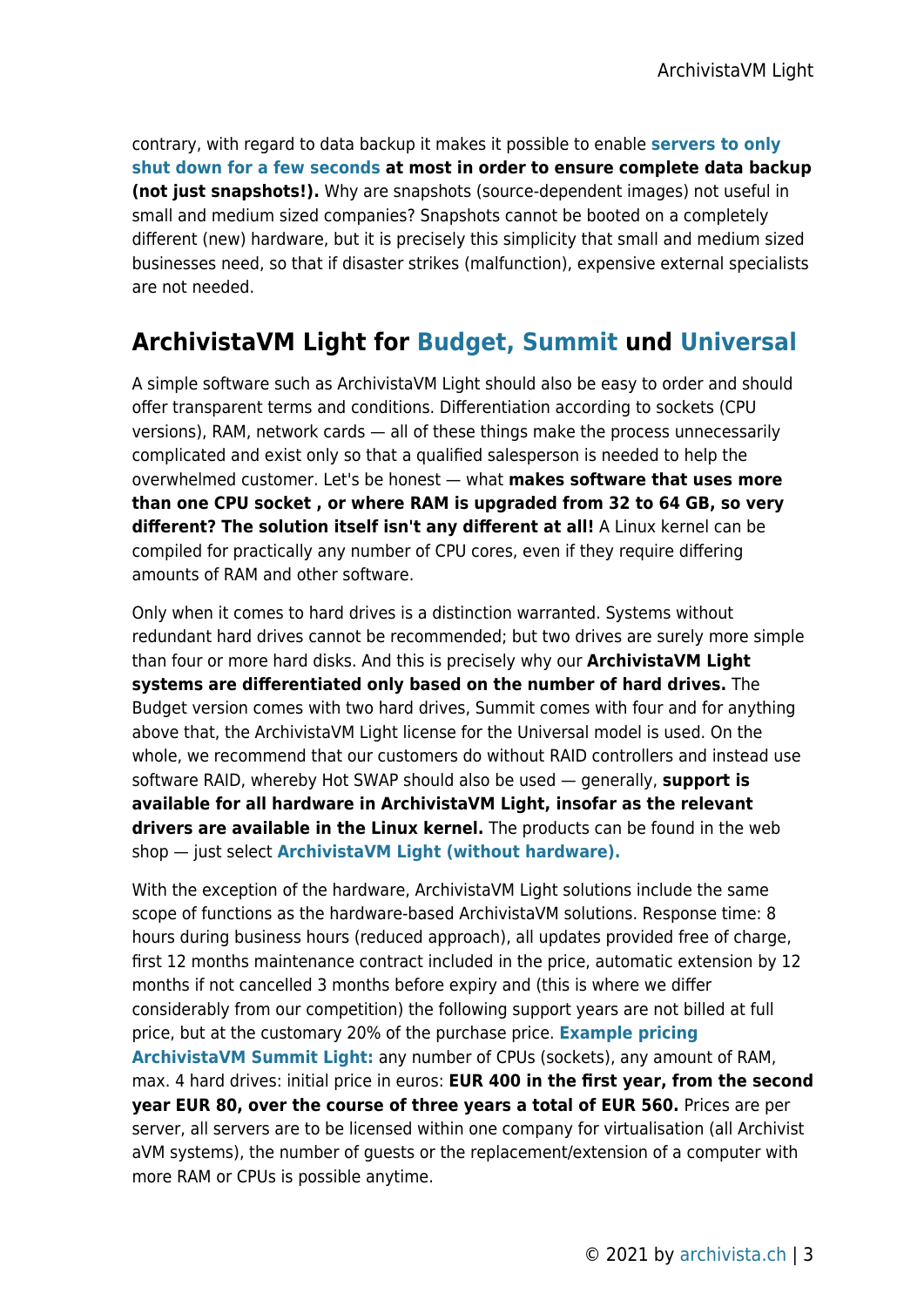contrary, with regard to data backup it makes it possible to enable **[servers to only](https://archivista.ch/cms/?page_id=508) [shut down for a few seconds](https://archivista.ch/cms/?page_id=508) at most in order to ensure complete data backup (not just snapshots!).** Why are snapshots (source-dependent images) not useful in small and medium sized companies? Snapshots cannot be booted on a completely different (new) hardware, but it is precisely this simplicity that small and medium sized businesses need, so that if disaster strikes (malfunction), expensive external specialists are not needed.

## **ArchivistaVM Light for [Budget,](http://shop.archivista.ch/oscommunity/catalog/product_info.php?currency=EUR&cPath=28&products_id=103) [Summit](http://shop.archivista.ch/oscommunity/catalog/product_info.php?cPath=28&products_id=104) und [Universal](http://shop.archivista.ch/oscommunity/catalog/product_info.php?cPath=28&products_id=105)**

A simple software such as ArchivistaVM Light should also be easy to order and should offer transparent terms and conditions. Differentiation according to sockets (CPU versions), RAM, network cards — all of these things make the process unnecessarily complicated and exist only so that a qualified salesperson is needed to help the overwhelmed customer. Let's be honest — what **makes software that uses more than one CPU socket , or where RAM is upgraded from 32 to 64 GB, so very different? The solution itself isn't any different at all!** A Linux kernel can be compiled for practically any number of CPU cores, even if they require differing amounts of RAM and other software.

Only when it comes to hard drives is a distinction warranted. Systems without redundant hard drives cannot be recommended; but two drives are surely more simple than four or more hard disks. And this is precisely why our **ArchivistaVM Light systems are differentiated only based on the number of hard drives.** The Budget version comes with two hard drives, Summit comes with four and for anything above that, the ArchivistaVM Light license for the Universal model is used. On the whole, we recommend that our customers do without RAID controllers and instead use software RAID, whereby Hot SWAP should also be used — generally, **support is available for all hardware in ArchivistaVM Light, insofar as the relevant drivers are available in the Linux kernel.** The products can be found in the web shop — just select **[ArchivistaVM Light \(without hardware\).](http://shop.archivista.ch/oscommunity/catalog/index.php?cPath=28)**

With the exception of the hardware, ArchivistaVM Light solutions include the same scope of functions as the hardware-based ArchivistaVM solutions. Response time: 8 hours during business hours (reduced approach), all updates provided free of charge, first 12 months maintenance contract included in the price, automatic extension by 12 months if not cancelled 3 months before expiry and (this is where we differ considerably from our competition) the following support years are not billed at full price, but at the customary 20% of the purchase price. **[Example pricing](http://shop.archivista.ch/oscommunity/catalog/product_info.php?cPath=28&products_id=104) [ArchivistaVM Summit Light:](http://shop.archivista.ch/oscommunity/catalog/product_info.php?cPath=28&products_id=104)** any number of CPUs (sockets), any amount of RAM, max. 4 hard drives: initial price in euros: **EUR 400 in the first year, from the second year EUR 80, over the course of three years a total of EUR 560.** Prices are per server, all servers are to be licensed within one company for virtualisation (all Archivist aVM systems), the number of guests or the replacement/extension of a computer with more RAM or CPUs is possible anytime.